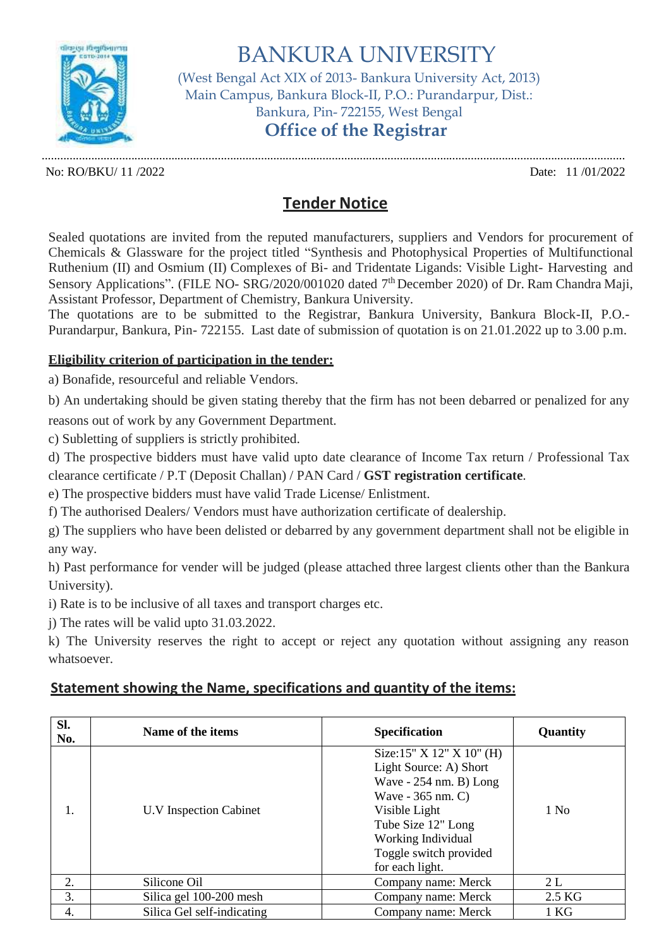

BANKURA UNIVERSITY (West Bengal Act XIX of 2013- Bankura University Act, 2013) Main Campus, Bankura Block-II, P.O.: Purandarpur, Dist.: Bankura, Pin- 722155, West Bengal **Office of the Registrar**

............................................................................................................................................................................................. No: RO/BKU/ 11 /2022 Date: 11 /01/2022

## **Tender Notice**

Sealed quotations are invited from the reputed manufacturers, suppliers and Vendors for procurement of Chemicals & Glassware for the project titled "Synthesis and Photophysical Properties of Multifunctional Ruthenium (II) and Osmium (II) Complexes of Bi- and Tridentate Ligands: Visible Light- Harvesting and Sensory Applications". (FILE NO- SRG/2020/001020 dated 7<sup>th</sup> December 2020) of Dr. Ram Chandra Maji, Assistant Professor, Department of Chemistry, Bankura University.

The quotations are to be submitted to the Registrar, Bankura University, Bankura Block-II, P.O.- Purandarpur, Bankura, Pin- 722155. Last date of submission of quotation is on 21.01.2022 up to 3.00 p.m.

## **Eligibility criterion of participation in the tender:**

a) Bonafide, resourceful and reliable Vendors.

b) An undertaking should be given stating thereby that the firm has not been debarred or penalized for any reasons out of work by any Government Department.

c) Subletting of suppliers is strictly prohibited.

d) The prospective bidders must have valid upto date clearance of Income Tax return / Professional Tax clearance certificate / P.T (Deposit Challan) / PAN Card / **GST registration certificate**.

e) The prospective bidders must have valid Trade License/ Enlistment.

f) The authorised Dealers/ Vendors must have authorization certificate of dealership.

g) The suppliers who have been delisted or debarred by any government department shall not be eligible in any way.

h) Past performance for vender will be judged (please attached three largest clients other than the Bankura University).

i) Rate is to be inclusive of all taxes and transport charges etc.

j) The rates will be valid upto 31.03.2022.

k) The University reserves the right to accept or reject any quotation without assigning any reason whatsoever.

## **Statement showing the Name, specifications and quantity of the items:**

| SI.<br>No. | Name of the items          | <b>Specification</b>                                                                                                                                                                                             | <b>Quantity</b>  |
|------------|----------------------------|------------------------------------------------------------------------------------------------------------------------------------------------------------------------------------------------------------------|------------------|
| 1.         | U.V Inspection Cabinet     | Size:15" $X$ 12" $X$ 10" (H)<br>Light Source: A) Short<br>Wave $-254$ nm. B) Long<br>Wave - 365 nm. C)<br>Visible Light<br>Tube Size 12" Long<br>Working Individual<br>Toggle switch provided<br>for each light. | 1 N <sub>0</sub> |
| 2.         | Silicone Oil               | Company name: Merck                                                                                                                                                                                              | 2L               |
| 3.         | Silica gel 100-200 mesh    | Company name: Merck                                                                                                                                                                                              | 2.5 KG           |
| 4.         | Silica Gel self-indicating | Company name: Merck                                                                                                                                                                                              | 1 KG             |